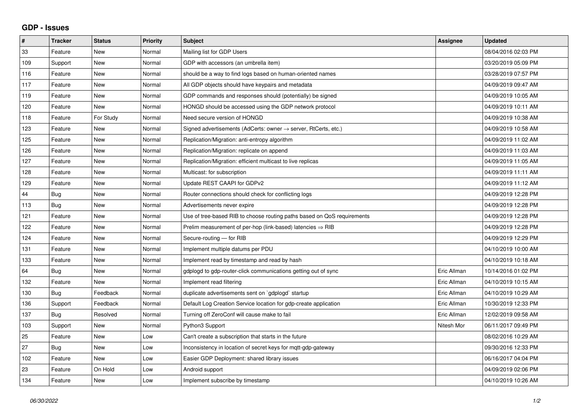## **GDP - Issues**

| $\pmb{\#}$ | <b>Tracker</b> | <b>Status</b> | <b>Priority</b> | <b>Subject</b>                                                             | Assignee    | <b>Updated</b>      |
|------------|----------------|---------------|-----------------|----------------------------------------------------------------------------|-------------|---------------------|
| 33         | Feature        | <b>New</b>    | Normal          | Mailing list for GDP Users                                                 |             | 08/04/2016 02:03 PM |
| 109        | Support        | <b>New</b>    | Normal          | GDP with accessors (an umbrella item)                                      |             | 03/20/2019 05:09 PM |
| 116        | Feature        | <b>New</b>    | Normal          | should be a way to find logs based on human-oriented names                 |             | 03/28/2019 07:57 PM |
| 117        | Feature        | <b>New</b>    | Normal          | All GDP objects should have keypairs and metadata                          |             | 04/09/2019 09:47 AM |
| 119        | Feature        | <b>New</b>    | Normal          | GDP commands and responses should (potentially) be signed                  |             | 04/09/2019 10:05 AM |
| 120        | Feature        | New           | Normal          | HONGD should be accessed using the GDP network protocol                    |             | 04/09/2019 10:11 AM |
| 118        | Feature        | For Study     | Normal          | Need secure version of HONGD                                               |             | 04/09/2019 10:38 AM |
| 123        | Feature        | <b>New</b>    | Normal          | Signed advertisements (AdCerts: owner $\rightarrow$ server, RtCerts, etc.) |             | 04/09/2019 10:58 AM |
| 125        | Feature        | New           | Normal          | Replication/Migration: anti-entropy algorithm                              |             | 04/09/2019 11:02 AM |
| 126        | Feature        | <b>New</b>    | Normal          | Replication/Migration: replicate on append                                 |             | 04/09/2019 11:03 AM |
| 127        | Feature        | <b>New</b>    | Normal          | Replication/Migration: efficient multicast to live replicas                |             | 04/09/2019 11:05 AM |
| 128        | Feature        | New           | Normal          | Multicast: for subscription                                                |             | 04/09/2019 11:11 AM |
| 129        | Feature        | <b>New</b>    | Normal          | Update REST CAAPI for GDPv2                                                |             | 04/09/2019 11:12 AM |
| 44         | <b>Bug</b>     | <b>New</b>    | Normal          | Router connections should check for conflicting logs                       |             | 04/09/2019 12:28 PM |
| 113        | Bug            | <b>New</b>    | Normal          | Advertisements never expire                                                |             | 04/09/2019 12:28 PM |
| 121        | Feature        | <b>New</b>    | Normal          | Use of tree-based RIB to choose routing paths based on QoS requirements    |             | 04/09/2019 12:28 PM |
| 122        | Feature        | New           | Normal          | Prelim measurement of per-hop (link-based) latencies $\Rightarrow$ RIB     |             | 04/09/2019 12:28 PM |
| 124        | Feature        | New           | Normal          | Secure-routing - for RIB                                                   |             | 04/09/2019 12:29 PM |
| 131        | Feature        | <b>New</b>    | Normal          | Implement multiple datums per PDU                                          |             | 04/10/2019 10:00 AM |
| 133        | Feature        | New           | Normal          | Implement read by timestamp and read by hash                               |             | 04/10/2019 10:18 AM |
| 64         | <b>Bug</b>     | <b>New</b>    | Normal          | gdplogd to gdp-router-click communications getting out of sync             | Eric Allman | 10/14/2016 01:02 PM |
| 132        | Feature        | <b>New</b>    | Normal          | Implement read filtering                                                   | Eric Allman | 04/10/2019 10:15 AM |
| 130        | <b>Bug</b>     | Feedback      | Normal          | duplicate advertisements sent on `gdplogd` startup                         | Eric Allman | 04/10/2019 10:29 AM |
| 136        | Support        | Feedback      | Normal          | Default Log Creation Service location for gdp-create application           | Eric Allman | 10/30/2019 12:33 PM |
| 137        | Bug            | Resolved      | Normal          | Turning off ZeroConf will cause make to fail                               | Eric Allman | 12/02/2019 09:58 AM |
| 103        | Support        | <b>New</b>    | Normal          | Python3 Support                                                            | Nitesh Mor  | 06/11/2017 09:49 PM |
| 25         | Feature        | <b>New</b>    | Low             | Can't create a subscription that starts in the future                      |             | 08/02/2016 10:29 AM |
| 27         | Bug            | <b>New</b>    | Low             | Inconsistency in location of secret keys for mqtt-gdp-gateway              |             | 09/30/2016 12:33 PM |
| 102        | Feature        | <b>New</b>    | Low             | Easier GDP Deployment: shared library issues                               |             | 06/16/2017 04:04 PM |
| 23         | Feature        | On Hold       | Low             | Android support                                                            |             | 04/09/2019 02:06 PM |
| 134        | Feature        | New           | Low             | Implement subscribe by timestamp                                           |             | 04/10/2019 10:26 AM |